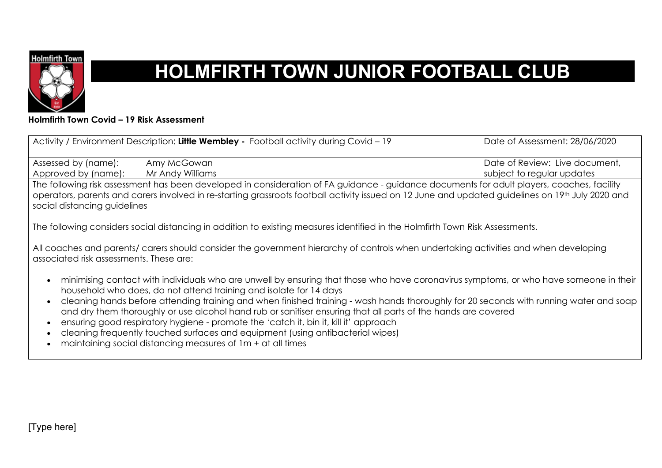

## **HOLMFIRTH TOWN JUNIOR FOOTBALL CLUB**

## **Holmfirth Town Covid – 19 Risk Assessment**

|                                                                                                                                                                                                                                                                                                                                 | Activity / Environment Description: Little Wembley - Football activity during Covid - 19 | Date of Assessment: 28/06/2020 |  |  |  |  |  |
|---------------------------------------------------------------------------------------------------------------------------------------------------------------------------------------------------------------------------------------------------------------------------------------------------------------------------------|------------------------------------------------------------------------------------------|--------------------------------|--|--|--|--|--|
| Assessed by (name):                                                                                                                                                                                                                                                                                                             | Amy McGowan                                                                              | Date of Review: Live document, |  |  |  |  |  |
| Approved by (name):                                                                                                                                                                                                                                                                                                             | Mr Andy Williams                                                                         | subject to regular updates     |  |  |  |  |  |
| The following risk assessment has been developed in consideration of FA guidance - guidance documents for adult players, coaches, facility<br>operators, parents and carers involved in re-starting grassroots football activity issued on 12 June and updated guidelines on 19th July 2020 and<br>social distancing guidelines |                                                                                          |                                |  |  |  |  |  |
| The following considers social distancing in addition to existing measures identified in the Holmfirth Town Risk Assessments.                                                                                                                                                                                                   |                                                                                          |                                |  |  |  |  |  |
| All coaches and parents/ carers should consider the government hierarchy of controls when undertaking activities and when developing<br>associated risk assessments. These are:                                                                                                                                                 |                                                                                          |                                |  |  |  |  |  |
| minimising contact with individuals who are unwell by ensuring that those who have coronavirus symptoms, or who have someone in their<br>$\bullet$<br>household who does, do not attend training and isolate for 14 days                                                                                                        |                                                                                          |                                |  |  |  |  |  |
| cleaning hands before attending training and when finished training - wash hands thoroughly for 20 seconds with running water and soap<br>$\bullet$<br>and dry them thoroughly or use alcohol hand rub or sanitiser ensuring that all parts of the hands are covered                                                            |                                                                                          |                                |  |  |  |  |  |
| ensuring good respiratory hygiene - promote the 'catch it, bin it, kill it' approach<br>$\bullet$<br>cleaning frequently touched surfaces and equipment (using antibacterial wipes)<br>$\bullet$                                                                                                                                |                                                                                          |                                |  |  |  |  |  |
| maintaining social distancing measures of 1m + at all times                                                                                                                                                                                                                                                                     |                                                                                          |                                |  |  |  |  |  |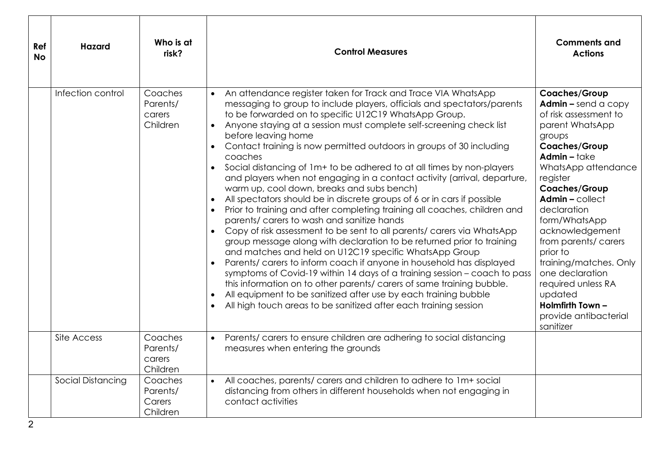| Ref<br><b>No</b> | <b>Hazard</b>     | Who is at<br>risk?                        | <b>Control Measures</b>                                                                                                                                                                                                                                                                                                                                                                                                                                                                                                                                                                                                                                                                                                                                                                                                                                                                                                                                                                                                                                                                                                                                                                                                                                                                                                                                                                    | <b>Comments and</b><br><b>Actions</b>                                                                                                                                                                                                                                                                                                                                                                                                   |
|------------------|-------------------|-------------------------------------------|--------------------------------------------------------------------------------------------------------------------------------------------------------------------------------------------------------------------------------------------------------------------------------------------------------------------------------------------------------------------------------------------------------------------------------------------------------------------------------------------------------------------------------------------------------------------------------------------------------------------------------------------------------------------------------------------------------------------------------------------------------------------------------------------------------------------------------------------------------------------------------------------------------------------------------------------------------------------------------------------------------------------------------------------------------------------------------------------------------------------------------------------------------------------------------------------------------------------------------------------------------------------------------------------------------------------------------------------------------------------------------------------|-----------------------------------------------------------------------------------------------------------------------------------------------------------------------------------------------------------------------------------------------------------------------------------------------------------------------------------------------------------------------------------------------------------------------------------------|
|                  | Infection control | Coaches<br>Parents/<br>carers<br>Children | An attendance register taken for Track and Trace VIA WhatsApp<br>messaging to group to include players, officials and spectators/parents<br>to be forwarded on to specific U12C19 WhatsApp Group.<br>Anyone staying at a session must complete self-screening check list<br>before leaving home<br>Contact training is now permitted outdoors in groups of 30 including<br>coaches<br>Social distancing of 1m+ to be adhered to at all times by non-players<br>and players when not engaging in a contact activity (arrival, departure,<br>warm up, cool down, breaks and subs bench)<br>All spectators should be in discrete groups of 6 or in cars if possible<br>Prior to training and after completing training all coaches, children and<br>parents/ carers to wash and sanitize hands<br>Copy of risk assessment to be sent to all parents/ carers via WhatsApp<br>group message along with declaration to be returned prior to training<br>and matches and held on U12C19 specific WhatsApp Group<br>Parents/ carers to inform coach if anyone in household has displayed<br>symptoms of Covid-19 within 14 days of a training session – coach to pass<br>this information on to other parents/ carers of same training bubble.<br>All equipment to be sanitized after use by each training bubble<br>$\bullet$<br>All high touch areas to be sanitized after each training session | Coaches/Group<br>$Admin$ – send a copy<br>of risk assessment to<br>parent WhatsApp<br>groups<br>Coaches/Group<br>$Admin - take$<br>WhatsApp attendance<br>register<br>Coaches/Group<br>$Admin$ – collect<br>declaration<br>form/WhatsApp<br>acknowledgement<br>from parents/ carers<br>prior to<br>training/matches. Only<br>one declaration<br>required unless RA<br>updated<br>Holmfirth Town -<br>provide antibacterial<br>sanitizer |
|                  | Site Access       | Coaches<br>Parents/<br>carers<br>Children | Parents/ carers to ensure children are adhering to social distancing<br>$\bullet$<br>measures when entering the grounds                                                                                                                                                                                                                                                                                                                                                                                                                                                                                                                                                                                                                                                                                                                                                                                                                                                                                                                                                                                                                                                                                                                                                                                                                                                                    |                                                                                                                                                                                                                                                                                                                                                                                                                                         |
|                  | Social Distancing | Coaches<br>Parents/<br>Carers<br>Children | All coaches, parents/ carers and children to adhere to 1m+ social<br>distancing from others in different households when not engaging in<br>contact activities                                                                                                                                                                                                                                                                                                                                                                                                                                                                                                                                                                                                                                                                                                                                                                                                                                                                                                                                                                                                                                                                                                                                                                                                                             |                                                                                                                                                                                                                                                                                                                                                                                                                                         |